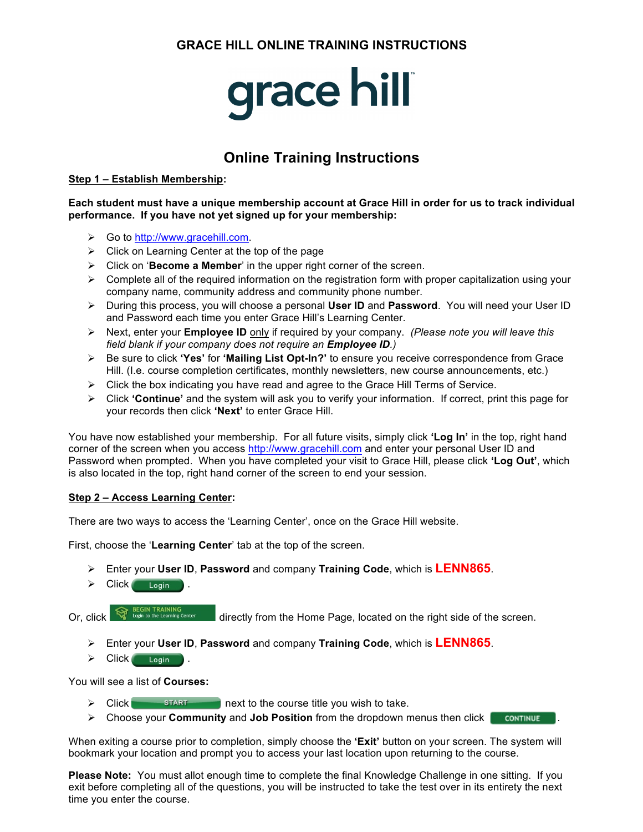## **GRACE HILL ONLINE TRAINING INSTRUCTIONS**

# **grace hill**

# **Online Training Instructions**

#### **Step 1 – Establish Membership:**

**Each student must have a unique membership account at Grace Hill in order for us to track individual performance. If you have not yet signed up for your membership:**

- Ø Go to http://www.gracehill.com.
- $\triangleright$  Click on Learning Center at the top of the page
- Ø Click on '**Become a Member**' in the upper right corner of the screen.
- $\triangleright$  Complete all of the required information on the registration form with proper capitalization using your company name, community address and community phone number.
- Ø During this process, you will choose a personal **User ID** and **Password**. You will need your User ID and Password each time you enter Grace Hill's Learning Center.
- Ø Next, enter your **Employee ID** only if required by your company. *(Please note you will leave this field blank if your company does not require an Employee ID.)*
- Ø Be sure to click **'Yes'** for **'Mailing List Opt-In?'** to ensure you receive correspondence from Grace Hill. (I.e. course completion certificates, monthly newsletters, new course announcements, etc.)
- $\triangleright$  Click the box indicating you have read and agree to the Grace Hill Terms of Service.
- Ø Click **'Continue'** and the system will ask you to verify your information. If correct, print this page for your records then click **'Next'** to enter Grace Hill.

You have now established your membership. For all future visits, simply click **'Log In'** in the top, right hand corner of the screen when you access http://www.gracehill.com and enter your personal User ID and Password when prompted. When you have completed your visit to Grace Hill, please click **'Log Out'**, which is also located in the top, right hand corner of the screen to end your session.

#### **Step 2 – Access Learning Center:**

There are two ways to access the 'Learning Center', once on the Grace Hill website.

First, choose the '**Learning Center**' tab at the top of the screen.

- Ø Enter your **User ID**, **Password** and company **Training Code**, which is **LENN865**.
- $\triangleright$  Click  $\overline{\phantom{a}}$  Login

Or, click directly from the Home Page, located on the right side of the screen.

- Ø Enter your **User ID**, **Password** and company **Training Code**, which is **LENN865**.
- $\triangleright$  Click  $\overline{\phantom{a}}$  Login

You will see a list of **Courses:**

- $\triangleright$  Click  $\blacksquare$  START next to the course title you wish to take.
- Ø Choose your **Community** and **Job Position** from the dropdown menus then click .

When exiting a course prior to completion, simply choose the **'Exit'** button on your screen. The system will bookmark your location and prompt you to access your last location upon returning to the course.

**Please Note:** You must allot enough time to complete the final Knowledge Challenge in one sitting. If you exit before completing all of the questions, you will be instructed to take the test over in its entirety the next time you enter the course.